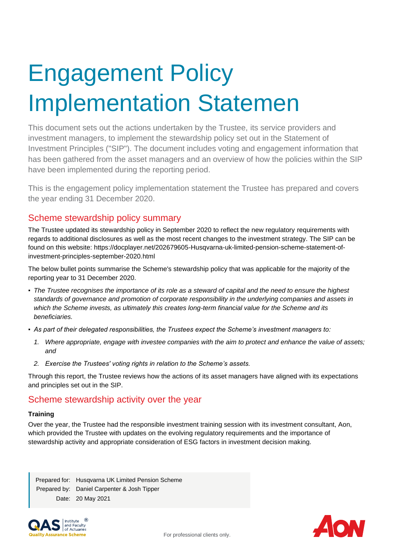# Engagement Policy Implementation Statemen

This document sets out the actions undertaken by the Trustee, its service providers and investment managers, to implement the stewardship policy set out in the Statement of Investment Principles ("SIP"). The document includes voting and engagement information that has been gathered from the asset managers and an overview of how the policies within the SIP have been implemented during the reporting period.

This is the engagement policy implementation statement the Trustee has prepared and covers the year ending 31 December 2020.

## Scheme stewardship policy summary

The Trustee updated its stewardship policy in September 2020 to reflect the new regulatory requirements with regards to additional disclosures as well as the most recent changes to the investment strategy. The SIP can be found on this website: https://docplayer.net/202679605-Husqvarna-uk-limited-pension-scheme-statement-ofinvestment-principles-september-2020.html

The below bullet points summarise the Scheme's stewardship policy that was applicable for the majority of the reporting year to 31 December 2020.

- *The Trustee recognises the importance of its role as a steward of capital and the need to ensure the highest standards of governance and promotion of corporate responsibility in the underlying companies and assets in which the Scheme invests, as ultimately this creates long-term financial value for the Scheme and its beneficiaries.*
- *As part of their delegated responsibilities, the Trustees expect the Scheme's investment managers to:*
	- *1. Where appropriate, engage with investee companies with the aim to protect and enhance the value of assets; and*
	- *2. Exercise the Trustees' voting rights in relation to the Scheme's assets.*

Through this report, the Trustee reviews how the actions of its asset managers have aligned with its expectations and principles set out in the SIP.

## Scheme stewardship activity over the year

### **Training**

Over the year, the Trustee had the responsible investment training session with its investment consultant, Aon, which provided the Trustee with updates on the evolving regulatory requirements and the importance of stewardship activity and appropriate consideration of ESG factors in investment decision making.

Prepared for: Husqvarna UK Limited Pension Scheme Prepared by: Daniel Carpenter & Josh Tipper Date: 20 May 2021



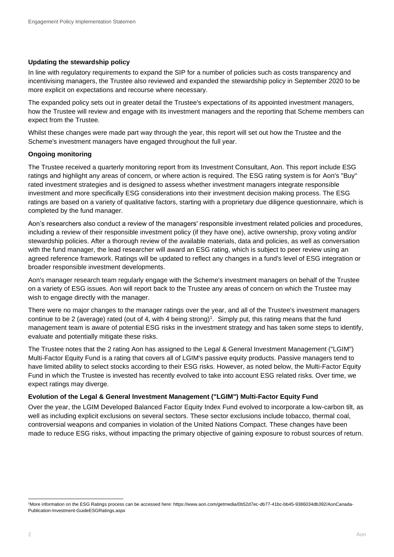#### **Updating the stewardship policy**

In line with regulatory requirements to expand the SIP for a number of policies such as costs transparency and incentivising managers, the Trustee also reviewed and expanded the stewardship policy in September 2020 to be more explicit on expectations and recourse where necessary.

The expanded policy sets out in greater detail the Trustee's expectations of its appointed investment managers, how the Trustee will review and engage with its investment managers and the reporting that Scheme members can expect from the Trustee.

Whilst these changes were made part way through the year, this report will set out how the Trustee and the Scheme's investment managers have engaged throughout the full year.

#### **Ongoing monitoring**

The Trustee received a quarterly monitoring report from its Investment Consultant, Aon. This report include ESG ratings and highlight any areas of concern, or where action is required. The ESG rating system is for Aon's "Buy" rated investment strategies and is designed to assess whether investment managers integrate responsible investment and more specifically ESG considerations into their investment decision making process. The ESG ratings are based on a variety of qualitative factors, starting with a proprietary due diligence questionnaire, which is completed by the fund manager.

Aon's researchers also conduct a review of the managers' responsible investment related policies and procedures, including a review of their responsible investment policy (if they have one), active ownership, proxy voting and/or stewardship policies. After a thorough review of the available materials, data and policies, as well as conversation with the fund manager, the lead researcher will award an ESG rating, which is subject to peer review using an agreed reference framework. Ratings will be updated to reflect any changes in a fund's level of ESG integration or broader responsible investment developments.

Aon's manager research team regularly engage with the Scheme's investment managers on behalf of the Trustee on a variety of ESG issues. Aon will report back to the Trustee any areas of concern on which the Trustee may wish to engage directly with the manager.

There were no major changes to the manager ratings over the year, and all of the Trustee's investment managers continue to be 2 (average) rated (out of 4, with 4 being strong) 1 . Simply put, this rating means that the fund management team is aware of potential ESG risks in the investment strategy and has taken some steps to identify, evaluate and potentially mitigate these risks.

The Trustee notes that the 2 rating Aon has assigned to the Legal & General Investment Management ("LGIM") Multi-Factor Equity Fund is a rating that covers all of LGIM's passive equity products. Passive managers tend to have limited ability to select stocks according to their ESG risks. However, as noted below, the Multi-Factor Equity Fund in which the Trustee is invested has recently evolved to take into account ESG related risks. Over time, we expect ratings may diverge.

### **Evolution of the Legal & General Investment Management ("LGIM") Multi-Factor Equity Fund**

Over the year, the LGIM Developed Balanced Factor Equity Index Fund evolved to incorporate a low-carbon tilt, as well as including explicit exclusions on several sectors. These sector exclusions include tobacco, thermal coal, controversial weapons and companies in violation of the United Nations Compact. These changes have been made to reduce ESG risks, without impacting the primary objective of gaining exposure to robust sources of return.

<sup>1</sup>More information on the ESG Ratings process can be accessed here: https://www.aon.com/getmedia/0b52d7ec-db77-41bc-bb45-9386034db392/AonCanada-Publication-Investment-GuideESGRatings.aspx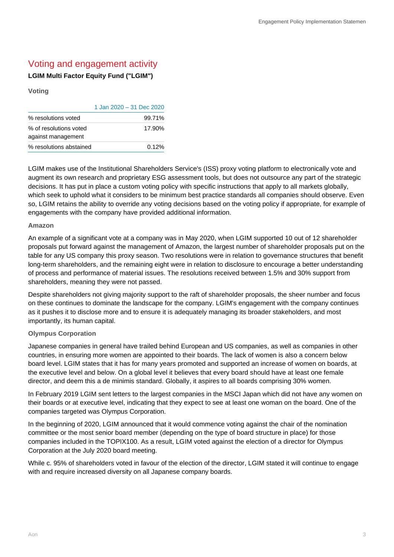# Voting and engagement activity

## **LGIM Multi Factor Equity Fund ("LGIM")**

#### **Voting**

|                                              | 1 Jan 2020 - 31 Dec 2020 |
|----------------------------------------------|--------------------------|
| % resolutions voted                          | 99.71%                   |
| % of resolutions voted<br>against management | 17.90%                   |
| % resolutions abstained                      | 0.12%                    |

LGIM makes use of the Institutional Shareholders Service's (ISS) proxy voting platform to electronically vote and augment its own research and proprietary ESG assessment tools, but does not outsource any part of the strategic decisions. It has put in place a custom voting policy with specific instructions that apply to all markets globally, which seek to uphold what it considers to be minimum best practice standards all companies should observe. Even so, LGIM retains the ability to override any voting decisions based on the voting policy if appropriate, for example of engagements with the company have provided additional information.

#### **Amazon**

An example of a significant vote at a company was in May 2020, when LGIM supported 10 out of 12 shareholder proposals put forward against the management of Amazon, the largest number of shareholder proposals put on the table for any US company this proxy season. Two resolutions were in relation to governance structures that benefit long-term shareholders, and the remaining eight were in relation to disclosure to encourage a better understanding of process and performance of material issues. The resolutions received between 1.5% and 30% support from shareholders, meaning they were not passed.

Despite shareholders not giving majority support to the raft of shareholder proposals, the sheer number and focus on these continues to dominate the landscape for the company. LGIM's engagement with the company continues as it pushes it to disclose more and to ensure it is adequately managing its broader stakeholders, and most importantly, its human capital.

#### **Olympus Corporation**

Japanese companies in general have trailed behind European and US companies, as well as companies in other countries, in ensuring more women are appointed to their boards. The lack of women is also a concern below board level. LGIM states that it has for many years promoted and supported an increase of women on boards, at the executive level and below. On a global level it believes that every board should have at least one female director, and deem this a de minimis standard. Globally, it aspires to all boards comprising 30% women.

In February 2019 LGIM sent letters to the largest companies in the MSCI Japan which did not have any women on their boards or at executive level, indicating that they expect to see at least one woman on the board. One of the companies targeted was Olympus Corporation.

In the beginning of 2020, LGIM announced that it would commence voting against the chair of the nomination committee or the most senior board member (depending on the type of board structure in place) for those companies included in the TOPIX100. As a result, LGIM voted against the election of a director for Olympus Corporation at the July 2020 board meeting.

While c. 95% of shareholders voted in favour of the election of the director, LGIM stated it will continue to engage with and require increased diversity on all Japanese company boards.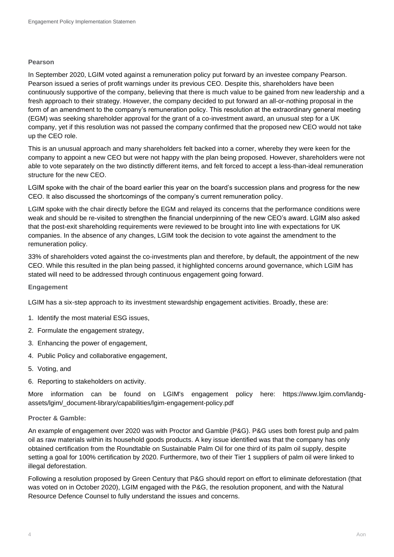#### **Pearson**

In September 2020, LGIM voted against a remuneration policy put forward by an investee company Pearson. Pearson issued a series of profit warnings under its previous CEO. Despite this, shareholders have been continuously supportive of the company, believing that there is much value to be gained from new leadership and a fresh approach to their strategy. However, the company decided to put forward an all-or-nothing proposal in the form of an amendment to the company's remuneration policy. This resolution at the extraordinary general meeting (EGM) was seeking shareholder approval for the grant of a co-investment award, an unusual step for a UK company, yet if this resolution was not passed the company confirmed that the proposed new CEO would not take up the CEO role.

This is an unusual approach and many shareholders felt backed into a corner, whereby they were keen for the company to appoint a new CEO but were not happy with the plan being proposed. However, shareholders were not able to vote separately on the two distinctly different items, and felt forced to accept a less-than-ideal remuneration structure for the new CEO.

LGIM spoke with the chair of the board earlier this year on the board's succession plans and progress for the new CEO. It also discussed the shortcomings of the company's current remuneration policy.

LGIM spoke with the chair directly before the EGM and relayed its concerns that the performance conditions were weak and should be re-visited to strengthen the financial underpinning of the new CEO's award. LGIM also asked that the post-exit shareholding requirements were reviewed to be brought into line with expectations for UK companies. In the absence of any changes, LGIM took the decision to vote against the amendment to the remuneration policy.

33% of shareholders voted against the co-investments plan and therefore, by default, the appointment of the new CEO. While this resulted in the plan being passed, it highlighted concerns around governance, which LGIM has stated will need to be addressed through continuous engagement going forward.

#### **Engagement**

LGIM has a six-step approach to its investment stewardship engagement activities. Broadly, these are:

- 1. Identify the most material ESG issues,
- 2. Formulate the engagement strategy,
- 3. Enhancing the power of engagement,
- 4. Public Policy and collaborative engagement,
- 5. Voting, and
- 6. Reporting to stakeholders on activity.

More information can be found on LGIM's engagement policy here: https://www.lgim.com/landgassets/lgim/\_document-library/capabilities/lgim-engagement-policy.pdf

#### **Procter & Gamble:**

An example of engagement over 2020 was with Proctor and Gamble (P&G). P&G uses both forest pulp and palm oil as raw materials within its household goods products. A key issue identified was that the company has only obtained certification from the Roundtable on Sustainable Palm Oil for one third of its palm oil supply, despite setting a goal for 100% certification by 2020. Furthermore, two of their Tier 1 suppliers of palm oil were linked to illegal deforestation.

Following a resolution proposed by Green Century that P&G should report on effort to eliminate deforestation (that was voted on in October 2020), LGIM engaged with the P&G, the resolution proponent, and with the Natural Resource Defence Counsel to fully understand the issues and concerns.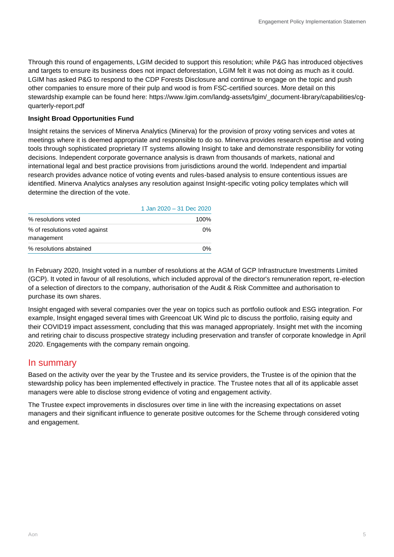Through this round of engagements, LGIM decided to support this resolution; while P&G has introduced objectives and targets to ensure its business does not impact deforestation, LGIM felt it was not doing as much as it could. LGIM has asked P&G to respond to the CDP Forests Disclosure and continue to engage on the topic and push other companies to ensure more of their pulp and wood is from FSC-certified sources. More detail on this stewardship example can be found here: https://www.lgim.com/landg-assets/lgim/\_document-library/capabilities/cgquarterly-report.pdf

### **Insight Broad Opportunities Fund**

Insight retains the services of Minerva Analytics (Minerva) for the provision of proxy voting services and votes at meetings where it is deemed appropriate and responsible to do so. Minerva provides research expertise and voting tools through sophisticated proprietary IT systems allowing Insight to take and demonstrate responsibility for voting decisions. Independent corporate governance analysis is drawn from thousands of markets, national and international legal and best practice provisions from jurisdictions around the world. Independent and impartial research provides advance notice of voting events and rules-based analysis to ensure contentious issues are identified. Minerva Analytics analyses any resolution against Insight-specific voting policy templates which will determine the direction of the vote.

|                                              | 1 Jan 2020 - 31 Dec 2020 |
|----------------------------------------------|--------------------------|
| % resolutions voted                          | 100%                     |
| % of resolutions voted against<br>management | 0%                       |
| % resolutions abstained                      | 0%                       |

In February 2020, Insight voted in a number of resolutions at the AGM of GCP Infrastructure Investments Limited (GCP). It voted in favour of all resolutions, which included approval of the director's remuneration report, re-election of a selection of directors to the company, authorisation of the Audit & Risk Committee and authorisation to purchase its own shares.

Insight engaged with several companies over the year on topics such as portfolio outlook and ESG integration. For example, Insight engaged several times with Greencoat UK Wind plc to discuss the portfolio, raising equity and their COVID19 impact assessment, concluding that this was managed appropriately. Insight met with the incoming and retiring chair to discuss prospective strategy including preservation and transfer of corporate knowledge in April 2020. Engagements with the company remain ongoing.

## In summary

Based on the activity over the year by the Trustee and its service providers, the Trustee is of the opinion that the stewardship policy has been implemented effectively in practice. The Trustee notes that all of its applicable asset managers were able to disclose strong evidence of voting and engagement activity.

The Trustee expect improvements in disclosures over time in line with the increasing expectations on asset managers and their significant influence to generate positive outcomes for the Scheme through considered voting and engagement.